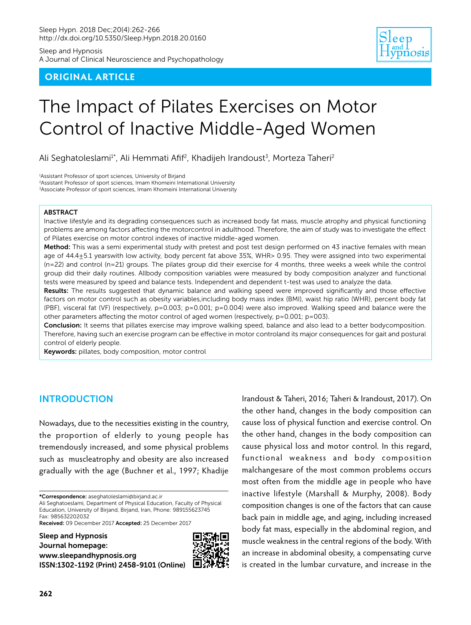Sleep and Hypnosis A Journal of Clinical Neuroscience and Psychopathology

## **ORIGINAL ARTICLE**



# The Impact of Pilates Exercises on Motor Control of Inactive Middle-Aged Women

Ali Seghatoleslami<sup>1\*</sup>, Ali Hemmati Afif<sup>2</sup>, Khadijeh Irandoust<sup>3</sup>, Morteza Taheri<sup>2</sup>

1 Assistant Professor of sport sciences, University of Birjand <sup>2</sup> Assistant Professor of sport sciences, Imam Khomeini International University 3 Associate Professor of sport sciences, Imam Khomeini International University

#### ABSTRACT

Inactive lifestyle and its degrading consequences such as increased body fat mass, muscle atrophy and physical functioning problems are among factors affecting the motorcontrol in adulthood. Therefore, the aim of study was to investigate the effect of Pilates exercise on motor control indexes of inactive middle-aged women.

Method: This was a semi experimental study with pretest and post test design performed on 43 inactive females with mean age of 44.4±5.1 yearswith low activity, body percent fat above 35%, WHR> 0.95. They were assigned into two experimental  $(n=22)$  and control  $(n=21)$  groups. The pilates group did their exercise for 4 months, three weeks a week while the control group did their daily routines. Allbody composition variables were measured by body composition analyzer and functional tests were measured by speed and balance tests. Independent and dependent t-test was used to analyze the data.

Results: The results suggested that dynamic balance and walking speed were improved significantly and those effective factors on motor control such as obesity variables,including body mass index (BMI), waist hip ratio (WHR), percent body fat (PBF), visceral fat (VF) (respectively, p=0.003; p=0.001; p=0.004) were also improved. Walking speed and balance were the other parameters affecting the motor control of aged women (respectively,  $p=0.001$ ;  $p=003$ ).

Conclusion: It seems that pillates exercise may improve walking speed, balance and also lead to a better bodycomposition. Therefore, having such an exercise program can be effective in motor controland its major consequences for gait and postural control of elderly people.

Keywords: pillates, body composition, motor control

## **INTRODUCTION**

Nowadays, due to the necessities existing in the country, the proportion of elderly to young people has tremendously increased, and some physical problems such as muscleatrophy and obesity are also increased gradually with the age (Buchner et al., 1997; Khadije

\*Correspondence: aseghatoleslami@birjand.ac.ir

Ali Seghatoeslami, Department of Physical Education, Faculty of Physical Education, University of Birjand, Birjand, Iran, Phone: 989155623745 Fax: 985632202032

Received: 09 December 2017 Accepted: 25 December 2017

Sleep and Hypnosis Journal homepage: www.sleepandhypnosis.org [ISSN:1302-1192 \(Print\) 2458-9101 \(Online\)](http://www.sleepandhypnosis.org)



Irandoust & Taheri, 2016; Taheri & Irandoust, 2017). On the other hand, changes in the body composition can cause loss of physical function and exercise control. On the other hand, changes in the body composition can cause physical loss and motor control. In this regard, functional weakness and body composition malchangesare of the most common problems occurs most often from the middle age in people who have inactive lifestyle (Marshall & Murphy, 2008). Body composition changes is one of the factors that can cause back pain in middle age, and aging, including increased body fat mass, especially in the abdominal region, and muscle weakness in the central regions of the body. With an increase in abdominal obesity, a compensating curve is created in the lumbar curvature, and increase in the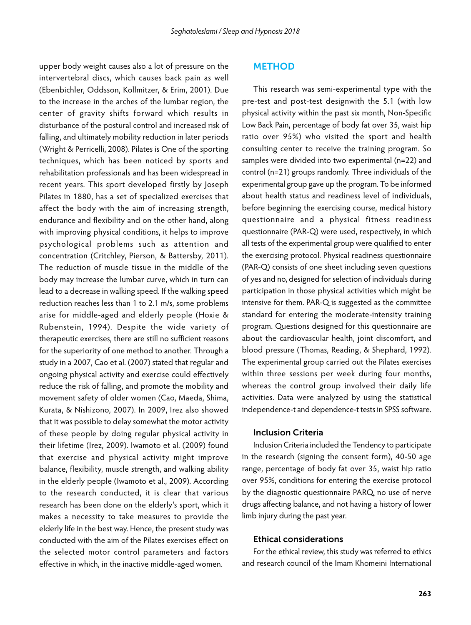upper body weight causes also a lot of pressure on the intervertebral discs, which causes back pain as well (Ebenbichler, Oddsson, Kollmitzer, & Erim, 2001). Due to the increase in the arches of the lumbar region, the center of gravity shifts forward which results in disturbance of the postural control and increased risk of falling, and ultimately mobility reduction in later periods (Wright & Perricelli, 2008). Pilates is One of the sporting techniques, which has been noticed by sports and rehabilitation professionals and has been widespread in recent years. This sport developed firstly by Joseph Pilates in 1880, has a set of specialized exercises that affect the body with the aim of increasing strength, endurance and flexibility and on the other hand, along with improving physical conditions, it helps to improve psychological problems such as attention and concentration (Critchley, Pierson, & Battersby, 2011). The reduction of muscle tissue in the middle of the body may increase the lumbar curve, which in turn can lead to a decrease in walking speed. If the walking speed reduction reaches less than 1 to 2.1 m/s, some problems arise for middle-aged and elderly people (Hoxie & Rubenstein, 1994). Despite the wide variety of therapeutic exercises, there are still no sufficient reasons for the superiority of one method to another. Through a study in a 2007, Cao et al. (2007) stated that regular and ongoing physical activity and exercise could effectively reduce the risk of falling, and promote the mobility and movement safety of older women (Cao, Maeda, Shima, Kurata, & Nishizono, 2007). In 2009, Irez also showed that it was possible to delay somewhat the motor activity of these people by doing regular physical activity in their lifetime (Irez, 2009). Iwamoto et al. (2009) found that exercise and physical activity might improve balance, flexibility, muscle strength, and walking ability in the elderly people (Iwamoto et al., 2009). According to the research conducted, it is clear that various research has been done on the elderly's sport, which it makes a necessity to take measures to provide the elderly life in the best way. Hence, the present study was conducted with the aim of the Pilates exercises effect on the selected motor control parameters and factors effective in which, in the inactive middle-aged women.

#### METHOD

This research was semi-experimental type with the pre-test and post-test designwith the 5.1 (with low physical activity within the past six month, Non-Specific Low Back Pain, percentage of body fat over 35, waist hip ratio over 95%) who visited the sport and health consulting center to receive the training program. So samples were divided into two experimental (n=22) and control (n=21) groups randomly. Three individuals of the experimental group gave up the program. To be informed about health status and readiness level of individuals, before beginning the exercising course, medical history questionnaire and a physical fitness readiness questionnaire (PAR-Q) were used, respectively, in which all tests of the experimental group were qualified to enter the exercising protocol. Physical readiness questionnaire (PAR-Q) consists of one sheet including seven questions of yes and no, designed for selection of individuals during participation in those physical activities which might be intensive for them. PAR-Q is suggested as the committee standard for entering the moderate-intensity training program. Questions designed for this questionnaire are about the cardiovascular health, joint discomfort, and blood pressure (Thomas, Reading, & Shephard, 1992). The experimental group carried out the Pilates exercises within three sessions per week during four months, whereas the control group involved their daily life activities. Data were analyzed by using the statistical independence-t and dependence-t tests in SPSS software.

#### Inclusion Criteria

Inclusion Criteria included the Tendency to participate in the research (signing the consent form), 40-50 age range, percentage of body fat over 35, waist hip ratio over 95%, conditions for entering the exercise protocol by the diagnostic questionnaire PARQ, no use of nerve drugs affecting balance, and not having a history of lower limb injury during the past year.

#### Ethical considerations

For the ethical review, this study was referred to ethics and research council of the Imam Khomeini International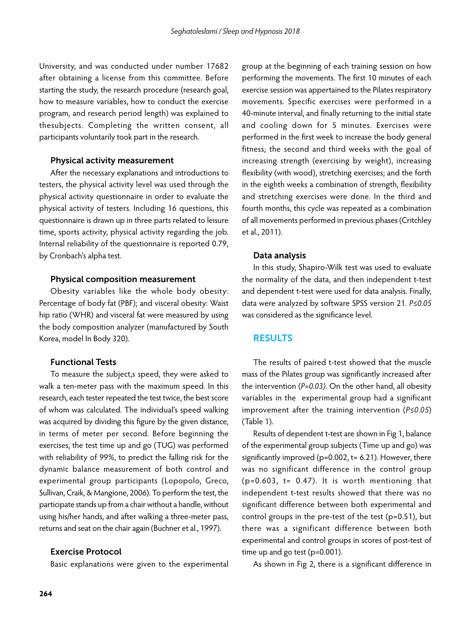University, and was conducted under number 17682 after obtaining a license from this committee. Before starting the study, the research procedure (research goal, how to measure variables, how to conduct the exercise program, and research period length) was explained to thesubjects. Completing the written consent, all participants voluntarily took part in the research.

#### Physical activity measurement

After the necessary explanations and introductions to testers, the physical activity level was used through the physical activity questionnaire in order to evaluate the physical activity of testers. Including 16 questions, this questionnaire is drawn up in three parts related to leisure time, sports activity, physical activity regarding the job. Internal reliability of the questionnaire is reported 0.79, by Cronbach's alpha test.

#### Physical composition measurement

Obesity variables like the whole body obesity: Percentage of body fat (PBF); and visceral obesity: Waist hip ratio (WHR) and visceral fat were measured by using the body composition analyzer (manufactured by South Korea, model In Body 320).

## Functional Tests

To measure the subject,s speed, they were asked to walk a ten-meter pass with the maximum speed. In this research, each tester repeated the test twice, the best score of whom was calculated. The individual's speed walking was acquired by dividing this figure by the given distance, in terms of meter per second. Before beginning the exercises, the test time up and go (TUG) was performed with reliability of 99%, to predict the falling risk for the dynamic balance measurement of both control and experimental group participants (Lopopolo, Greco, Sullivan, Craik, & Mangione, 2006). To perform the test, the participate stands up from a chair without a handle, without using his/her hands, and after walking a three-meter pass, returns and seat on the chair again (Buchner et al., 1997).

#### Exercise Protocol

Basic explanations were given to the experimental

group at the beginning of each training session on how performing the movements. The first 10 minutes of each exercise session was appertained to the Pilates respiratory movements. Specific exercises were performed in a 40-minute interval, and finally returning to the initial state and cooling down for 5 minutes. Exercises were performed in the first week to increase the body general fitness; the second and third weeks with the goal of increasing strength (exercising by weight), increasing flexibility (with wood), stretching exercises; and the forth in the eighth weeks a combination of strength, flexibility and stretching exercises were done. In the third and fourth months, this cycle was repeated as a combination of all movements performed in previous phases (Critchley et al., 2011).

#### Data analysis

In this study, Shapiro-Wilk test was used to evaluate the normality of the data, and then independent t-test and dependent t-test were used for data analysis. Finally, data were analyzed by software SPSS version 21. *P≤0.05* was considered as the significance level.

### RESULTS

The results of paired t-test showed that the muscle mass of the Pilates group was significantly increased after the intervention (*P=0.03)*. On the other hand, all obesity variables in the experimental group had a significant improvement after the training intervention (*P≤0.05*) (Table 1).

Results of dependent t-test are shown in Fig 1, balance of the experimental group subjects (Time up and go) was significantly improved (p=0.002, t= 6.21). However, there was no significant difference in the control group  $(p=0.603, t= 0.47)$ . It is worth mentioning that independent t-test results showed that there was no significant difference between both experimental and control groups in the pre-test of the test (p=0.51), but there was a significant difference between both experimental and control groups in scores of post-test of time up and go test (p=0.001).

As shown in Fig 2, there is a significant difference in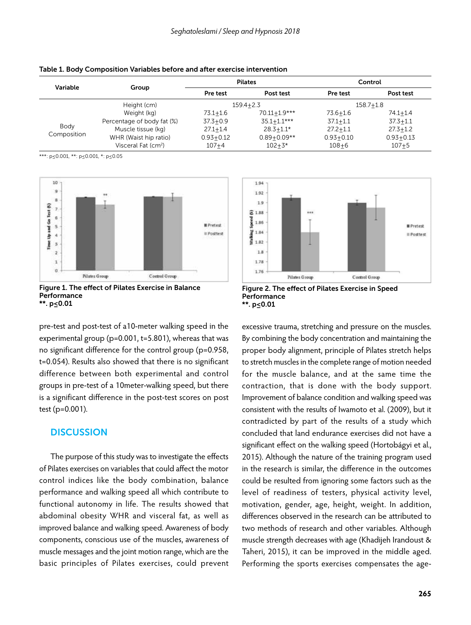| Variable            | Group                           | <b>Pilates</b> |                 | Control       |               |
|---------------------|---------------------------------|----------------|-----------------|---------------|---------------|
|                     |                                 | Pre test       | Post test       | Pre test      | Post test     |
|                     | Height (cm)                     | $159.4 + 2.3$  |                 | $158.7 + 1.8$ |               |
| Body<br>Composition | Weight (kg)                     | $73.1 + 1.6$   | 70.11+1.9***    | 73.6+1.6      | $74.1 + 1.4$  |
|                     | Percentage of body fat (%)      | $37.3 + 0.9$   | $35.1 + 1.1***$ | $37.1 + 1.1$  | $37.3 + 1.1$  |
|                     | Muscle tissue (kg)              | $27.1 + 1.4$   | $28.3 + 1.1*$   | $27.2 + 1.1$  | $27.3 + 1.2$  |
|                     | WHR (Waist hip ratio)           | $0.93 + 0.12$  | $0.89 + 0.09**$ | $0.93 + 0.10$ | $0.93 + 0.13$ |
|                     | Visceral Fat (cm <sup>2</sup> ) | $107 + 4$      | $102 + 3*$      | $108 + 6$     | $107 + 5$     |

|  |  | Table 1. Body Composition Variables before and after exercise intervention |  |  |  |
|--|--|----------------------------------------------------------------------------|--|--|--|
|--|--|----------------------------------------------------------------------------|--|--|--|

\*\*\*: p≤0.001, \*\*: p≤0.001, \*: p≤0.05





pre-test and post-test of a10-meter walking speed in the experimental group (p=0.001, t=5.801), whereas that was no significant difference for the control group (p=0.958, t=0.054). Results also showed that there is no significant difference between both experimental and control groups in pre-test of a 10meter-walking speed, but there is a significant difference in the post-test scores on post test (p=0.001).

## **DISCUSSION**

The purpose of this study was to investigate the effects of Pilates exercises on variables that could affect the motor control indices like the body combination, balance performance and walking speed all which contribute to functional autonomy in life. The results showed that abdominal obesity WHR and visceral fat, as well as improved balance and walking speed. Awareness of body components, conscious use of the muscles, awareness of muscle messages and the joint motion range, which are the basic principles of Pilates exercises, could prevent





excessive trauma, stretching and pressure on the muscles. By combining the body concentration and maintaining the proper body alignment, principle of Pilates stretch helps to stretch muscles in the complete range of motion needed for the muscle balance, and at the same time the contraction, that is done with the body support. Improvement of balance condition and walking speed was consistent with the results of Iwamoto et al. (2009), but it contradicted by part of the results of a study which concluded that land endurance exercises did not have a significant effect on the walking speed (Hortobágyi et al., 2015). Although the nature of the training program used in the research is similar, the difference in the outcomes could be resulted from ignoring some factors such as the level of readiness of testers, physical activity level, motivation, gender, age, height, weight. In addition, differences observed in the research can be attributed to two methods of research and other variables. Although muscle strength decreases with age (Khadijeh Irandoust & Taheri, 2015), it can be improved in the middle aged. Performing the sports exercises compensates the age